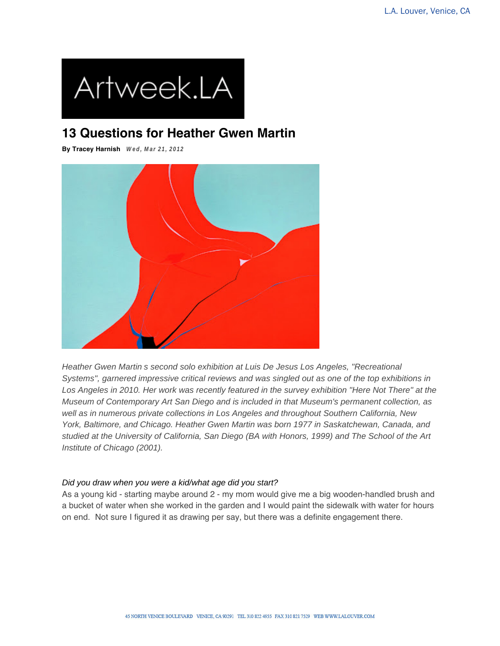

# **13 Questions for Heather Gwen Martin**

**By Tracey Harnish Wed, Mar 21, 2012**



Heather Gwen Martin s second solo exhibition at Luis De Jesus Los Angeles, "Recreational Systems", garnered impressive critical reviews and was singled out as one of the top exhibitions in Los Angeles in 2010. Her work was recently featured in the survey exhibition "Here Not There" at the Museum of Contemporary Art San Diego and is included in that Museum's permanent collection, as well as in numerous private collections in Los Angeles and throughout Southern California, New York, Baltimore, and Chicago. Heather Gwen Martin was born 1977 in Saskatchewan, Canada, and studied at the University of California, San Diego (BA with Honors, 1999) and The School of the Art Institute of Chicago (2001).

### Did you draw when you were a kid/what age did you start?

As a young kid - starting maybe around 2 - my mom would give me a big wooden-handled brush and a bucket of water when she worked in the garden and I would paint the sidewalk with water for hours on end. Not sure I figured it as drawing per say, but there was a definite engagement there.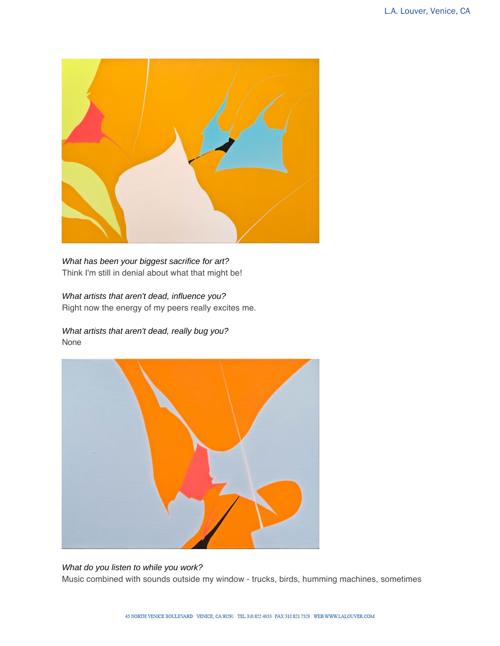

What has been your biggest sacrifice for art? Think I'm still in denial about what that might be!

## What artists that aren't dead, influence you?

Right now the energy of my peers really excites me.

What artists that aren't dead, really bug you? None



### What do you listen to while you work? Music combined with sounds outside my window - trucks, birds, humming machines, sometimes